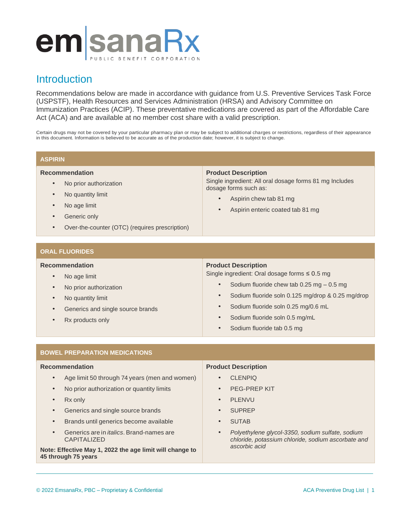# emsanaRx

# **Introduction**

Recommendations below are made in accordance with guidance from U.S. Preventive Services Task Force (USPSTF), Health Resources and Services Administration (HRSA) and Advisory Committee on Immunization Practices (ACIP). These preventative medications are covered as part of the Affordable Care Act (ACA) and are available at no member cost share with a valid prescription.

Certain drugs may not be covered by your particular pharmacy plan or may be subject to additional charges or restrictions, regardless of their appearance in this document. Information is believed to be accurate as of the production date; however, it is subject to change.

# **ASPIRIN**

# **Recommendation**

- No prior authorization
- No quantity limit
- No age limit
- Generic only
- Over-the-counter (OTC) (requires prescription)

# **Product Description**

Single ingredient: All oral dosage forms 81 mg Includes dosage forms such as:

- Aspirin chew tab 81 mg
- Aspirin enteric coated tab 81 mg

# **ORAL FLUORIDES**

# **Recommendation**

- No age limit
- No prior authorization
- No quantity limit
- Generics and single source brands
- Rx products only

# **Product Description**

Single ingredient: Oral dosage forms ≤ 0.5 mg

- Sodium fluoride chew tab  $0.25$  mg  $-0.5$  mg
- Sodium fluoride soln 0.125 mg/drop & 0.25 mg/drop
- Sodium fluoride soln 0.25 mg/0.6 mL
- Sodium fluoride soln 0.5 mg/mL
- Sodium fluoride tab 0.5 mg

# **BOWEL PREPARATION MEDICATIONS**

# **Recommendation**

- Age limit 50 through 74 years (men and women)
- No prior authorization or quantity limits
- **Rx** only
- Generics and single source brands
- Brands until generics become available
- Generics are in *italics*. Brand-names are CAPITALIZED

**Note: Effective May 1, 2022 the age limit will change to 45 through 75 years**

# **Product Description**

- CLENPIQ
- PEG-PREP KIT
- PLENVU
- SUPREP
- **SUTAB**
- *Polyethylene glycol-3350, sodium sulfate, sodium chloride, potassium chloride, sodium ascorbate and ascorbic acid*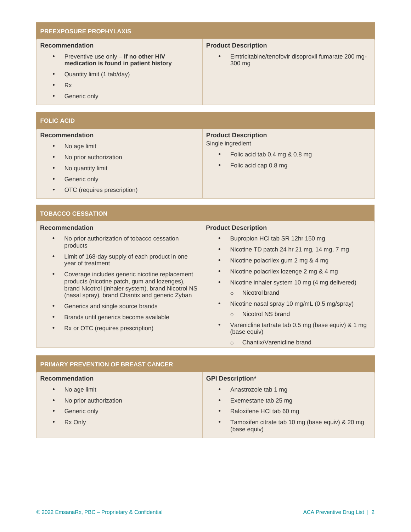# **PREEXPOSURE PROPHYLAXIS**

# **Recommendation**

- Preventive use only **if no other HIV medication is found in patient history**
- Quantity limit (1 tab/day)
- Rx
- Generic only

# **FOLIC ACID**

#### **Recommendation**

# • No age limit

- No prior authorization
- No quantity limit
- Generic only
- OTC (requires prescription)

#### **TOBACCO CESSATION**

#### **Recommendation**

- No prior authorization of tobacco cessation products
- Limit of 168-day supply of each product in one year of treatment
- Coverage includes generic nicotine replacement products (nicotine patch, gum and lozenges), brand Nicotrol (inhaler system), brand Nicotrol NS (nasal spray), brand Chantix and generic Zyban
- Generics and single source brands
- Brands until generics become available
- Rx or OTC (requires prescription)

**PRIMARY PREVENTION OF BREAST CANCER**

### **Product Description**

• Emtricitabine/tenofovir disoproxil fumarate 200 mg-300 mg

# **Product Description**

Single ingredient

- Folic acid tab 0.4 mg & 0.8 mg
- Folic acid cap 0.8 mg

#### **Product Description**

- Bupropion HCl tab SR 12hr 150 mg
- Nicotine TD patch 24 hr 21 mg, 14 mg, 7 mg
- Nicotine polacrilex gum 2 mg & 4 mg
- Nicotine polacrilex lozenge 2 mg & 4 mg
- Nicotine inhaler system 10 mg (4 mg delivered) o Nicotrol brand
- Nicotine nasal spray 10 mg/mL (0.5 mg/spray)
	- o Nicotrol NS brand
- Varenicline tartrate tab 0.5 mg (base equiv) & 1 mg (base equiv)
	- o Chantix/Varenicline brand

#### **Recommendation** • No age limit • No prior authorization Generic only Rx Only **GPI Description\*** • Anastrozole tab 1 mg • Exemestane tab 25 mg • Raloxifene HCl tab 60 mg • Tamoxifen citrate tab 10 mg (base equiv) & 20 mg (base equiv)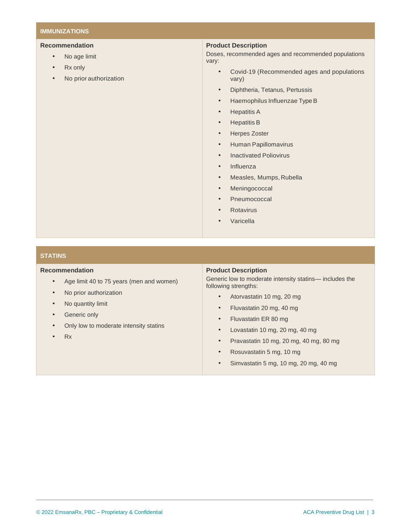# **IMMUNIZATIONS**

# **Recommendation**

- No age limit
- Rx only
- No prior authorization

# **Product Description**

Doses, recommended ages and recommended populations vary:

- Covid-19 (Recommended ages and populations vary)
- Diphtheria, Tetanus, Pertussis
- Haemophilus Influenzae Type B
- Hepatitis A
- Hepatitis B
- Herpes Zoster
- Human Papillomavirus
- Inactivated Poliovirus
- Influenza
- Measles, Mumps, Rubella
- **Meningococcal**
- **Pneumococcal**
- **Rotavirus**
- **Varicella**

# **STATINS**

# **Recommendation**

- Age limit 40 to 75 years (men and women)
- No prior authorization
- No quantity limit
- Generic only
- Only low to moderate intensity statins
- Rx

#### **Product Description**

Generic low to moderate intensity statins— includes the following strengths:

- Atorvastatin 10 mg, 20 mg
- Fluvastatin 20 mg, 40 mg
- Fluvastatin ER 80 mg
- Lovastatin 10 mg, 20 mg, 40 mg
- Pravastatin 10 mg, 20 mg, 40 mg, 80 mg
- Rosuvastatin 5 mg, 10 mg
- Simvastatin 5 mg, 10 mg, 20 mg, 40 mg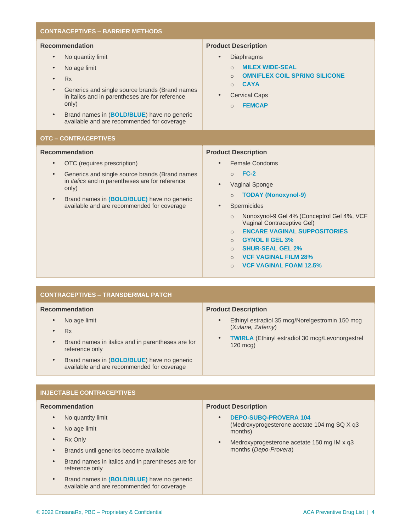#### **CONTRACEPTIVES – BARRIER METHODS Recommendation** • No quantity limit • No age limit • Rx • Generics and single source brands (Brand names in italics and in parentheses are for reference only) • Brand names in (**BOLD/BLUE**) have no generic available and are recommended for coverage **Product Description Diaphragms** o **MILEX WIDE-SEAL** o **OMNIFLEX COIL SPRING SILICONE** o **CAYA Cervical Caps** o **FEMCAP OTC – CONTRACEPTIVES Recommendation** • OTC (requires prescription) Generics and single source brands (Brand names in *italics* and in parentheses are for reference only) • Brand names in **(BOLD/BLUE)** have no generic available and are recommended for coverage **Product Description** Female Condoms o **FC-2** • Vaginal Sponge o **TODAY (Nonoxynol-9) Spermicides** o Nonoxynol-9 Gel 4% (Conceptrol Gel 4%, VCF Vaginal Contraceptive Gel) o **ENCARE VAGINAL SUPPOSITORIES** o **GYNOL II GEL 3%** o **SHUR-SEAL GEL 2%** o **VCF VAGINAL FILM 28%** o **VCF VAGINAL FOAM 12.5%**

| <b>CONTRACEPTIVES - TRANSDERMAL PATCH</b>                                                                                                                                                                                                 |                                                                                                                                                                               |
|-------------------------------------------------------------------------------------------------------------------------------------------------------------------------------------------------------------------------------------------|-------------------------------------------------------------------------------------------------------------------------------------------------------------------------------|
| <b>Recommendation</b>                                                                                                                                                                                                                     | <b>Product Description</b>                                                                                                                                                    |
| No age limit<br>$\bullet$<br>Rx<br>$\bullet$<br>Brand names in italics and in parentheses are for<br>$\bullet$<br>reference only<br>Brand names in (BOLD/BLUE) have no generic<br>$\bullet$<br>available and are recommended for coverage | Ethinyl estradiol 35 mcg/Norelgestromin 150 mcg<br>$\bullet$<br>(Xulane, Zafemy)<br><b>TWIRLA</b> (Ethinyl estradiol 30 mcg/Levonorgestrel)<br>$\bullet$<br>$120 \text{ mca}$ |
|                                                                                                                                                                                                                                           |                                                                                                                                                                               |

# **CONTRACEPTIVES – TRANSDERMAL PATCH INJECTABLE CONTRACEPTIVES**

# **Recommendation Recommendation**

- No quantity limit
- No age limit
- Brand names in italien in italien in parentheses are for  $\alpha$  in parentheses are for  $\alpha$
- Brands until generics become available
- Brand names in italics and in parentheses are for available and are recommended for coverage reference only
- Brand names in **(BOLD/BLUE)** have no generic available and are recommended for coverage

# **Product Description Product Description**

- **DEPO-SUBQ-PROVERA 104** (*Xulane*) (Medroxyprogesterone acetate 104 mg SQ X q3  $\mathcal{L}(\mathcal{L})$ months)
- Medroxyprogesterone acetate 150 mg IM x q3 months (*Depo-Provera*)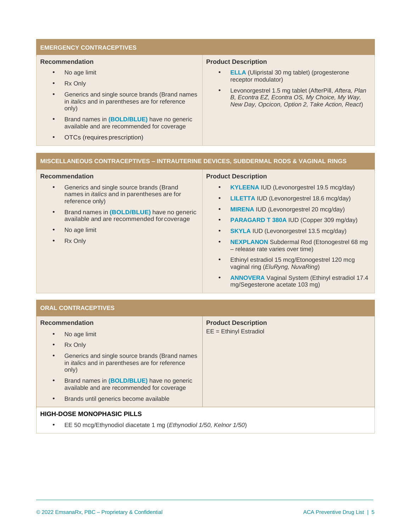# **EMERGENCY CONTRACEPTIVES**

#### **Recommendation**

- No age limit
- Rx Only
- Generics and single source brands (Brand names in *italics* and in parentheses are for reference only)
- Brand names in **(BOLD/BLUE)** have no generic available and are recommended for coverage
- OTCs (requires prescription)

# **Product Description**

- **ELLA** (Ulipristal 30 mg tablet) (progesterone receptor modulator)
- Levonorgestrel 1.5 mg tablet (AfterPill, *Aftera, Plan B, Econtra EZ, Econtra OS, My Choice, My Way, New Day, Opcicon, Option 2, Take Action, React*)

# **MISCELLANEOUS CONTRACEPTIVES – INTRAUTERINE DEVICES, SUBDERMAL RODS & VAGINAL RINGS**

# **Recommendation**

- Generics and single source brands (Brand names in *italics* and in parentheses are for reference only)
- Brand names in **(BOLD/BLUE)** have no generic available and are recommended forcoverage
- No age limit
- **Rx Only**

# **Product Description**

- **KYLEENA** IUD (Levonorgestrel 19.5 mcg/day)
- **LILETTA** IUD (Levonorgestrel 18.6 mcg/day)
- **MIRENA** IUD (Levonorgestrel 20 mcg/day)
- **PARAGARD T 380A** IUD (Copper 309 mg/day)
- **SKYLA IUD (Levonorgestrel 13.5 mcg/day)**
- **NEXPLANON** Subdermal Rod (Etonogestrel 68 mg – release rate varies over time)
- Ethinyl estradiol 15 mcg/Etonogestrel 120 mcg vaginal ring (*EluRyng, NuvaRing*)
- **ANNOVERA** Vaginal System (Ethinyl estradiol 17.4 mg/Segesterone acetate 103 mg)

# **ORAL CONTRACEPTIVES**

| <b>Recommendation</b>                                                                                                          | <b>Product Description</b><br>$EE = Ethiny$ Estradiol |
|--------------------------------------------------------------------------------------------------------------------------------|-------------------------------------------------------|
| No age limit<br>$\bullet$                                                                                                      |                                                       |
| Rx Only<br>$\bullet$                                                                                                           |                                                       |
| Generics and single source brands (Brand names<br>$\bullet$<br>in <i>italics</i> and in parentheses are for reference<br>only) |                                                       |
| Brand names in (BOLD/BLUE) have no generic<br>$\bullet$<br>available and are recommended for coverage                          |                                                       |
| Brands until generics become available<br>$\bullet$                                                                            |                                                       |
| <b>HIGH-DOSE MONOPHASIC PILLS</b>                                                                                              |                                                       |
| EE 50 mcg/Ethynodiol diacetate 1 mg ( <i>Ethynodiol 1/50, Kelnor 1/50</i> )<br>٠                                               |                                                       |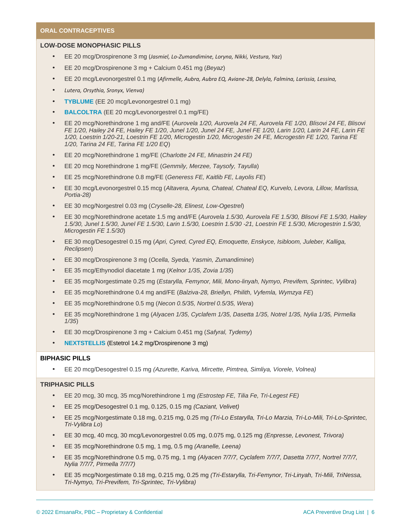## **ORAL CONTRACEPTIVES**

#### **LOW-DOSE MONOPHASIC PILLS**

- EE 20 mcg/Drospirenone 3 mg (*Jasmiel, Lo-Zumandimine, Loryna, Nikki, Vestura, Yaz*)
- EE 20 mcg/Drospirenone 3 mg + Calcium 0.451 mg (*Beyaz*)
- EE 20 mcg/Levonorgestrel 0.1 mg (*Afirmelle, Aubra, Aubra EQ, Aviane-28, Delyla, Falmina, Larissia, Lessina,*
- *Lutera, Orsythia, Sronyx, Vienva)*
- **TYBLUME** (EE 20 mcg/Levonorgestrel 0.1 mg)
- **BALCOLTRA** (EE 20 mcg/Levonorgestrel 0.1 mg/FE)
- EE 20 mcg/Norethindrone 1 mg and/FE (*Aurovela 1/20, Aurovela 24 FE, Aurovela FE 1/20, Blisovi 24 FE, Blisovi FE 1/20, Hailey 24 FE, Hailey FE 1/20, Junel 1/20, Junel 24 FE, Junel FE 1/20, Larin 1/20, Larin 24 FE, Larin FE 1/20, Loestrin 1/20-21, Loestrin FE 1/20, Microgestin 1/20, Microgestin 24 FE, Microgestin FE 1/20, Tarina FE 1/20, Tarina 24 FE, Tarina FE 1/20 EQ*)
- EE 20 mcg/Norethindrone 1 mg/FE (*Charlotte 24 FE, Minastrin 24 FE)*
- EE 20 mcg Norethindrone 1 mg/FE (*Gemmily, Merzee, Taysofy, Tayulla*)
- EE 25 mcg/Norethindrone 0.8 mg/FE (*Generess FE, Kaitlib FE, Layolis FE*)
- EE 30 mcg/Levonorgestrel 0.15 mcg (*Altavera, Ayuna, Chateal, Chateal EQ, Kurvelo, Levora, Lillow, Marlissa, Portia-28)*
- EE 30 mcg/Norgestrel 0.03 mg (*Cryselle-28, Elinest, Low-Ogestrel*)
- EE 30 mcg/Norethindrone acetate 1.5 mg and/FE (*Aurovela 1.5/30, Aurovela FE 1.5/30, Blisovi FE 1.5/30, Hailey 1.5/30, Junel 1.5/30, Junel FE 1.5/30, Larin 1.5/30, Loestrin 1.5/30 -21, Loestrin FE 1.5/30, Microgestrin 1.5/30, Microgestin FE 1.5/30*)
- EE 30 mcg/Desogestrel 0.15 mg (*Apri, Cyred, Cyred EQ, Emoquette, Enskyce, Isibloom, Juleber, Kalliga, Reclipsen*)
- EE 30 mcg/Drospirenone 3 mg (*Ocella, Syeda, Yasmin, Zumandimine*)
- EE 35 mcg/Ethynodiol diacetate 1 mg (*Kelnor 1/35, Zovia 1/35*)
- EE 35 mcg/Norgestimate 0.25 mg (*Estarylla, Femynor, Mili, Mono-linyah, Nymyo, Previfem, Sprintec, Vylibra*)
- EE 35 mcg/Norethindrone 0.4 mg and/FE (*Balziva-28, Briellyn, Philith, Vyfemla, Wymzya FE*)
- EE 35 mcg/Norethindrone 0.5 mg (*Necon 0.5/35, Nortrel 0.5/35, Wera*)
- EE 35 mcg/Norethindrone 1 mg (*Alyacen 1/35, Cyclafem 1/35, Dasetta 1/35, Notrel 1/35, Nylia 1/35, Pirmella 1/35*)
- EE 30 mcg/Drospirenone 3 mg + Calcium 0.451 mg (*Safyral, Tydemy*)
- **NEXTSTELLIS** (Estetrol 14.2 mg/Drospirenone 3 mg)

# **BIPHASIC PILLS**

• EE 20 mcg/Desogestrel 0.15 mg *(Azurette, Kariva, Mircette, Pimtrea, Simliya, Viorele, Volnea)*

#### **TRIPHASIC PILLS**

- EE 20 mcg, 30 mcg, 35 mcg/Norethindrone 1 mg *(Estrostep FE, Tilia Fe, Tri-Legest FE)*
- EE 25 mcg/Desogestrel 0.1 mg, 0.125, 0.15 mg *(Caziant, Velivet)*
- EE 25 mcg/Norgestimate 0.18 mg, 0.215 mg, 0.25 mg *(Tri-Lo Estarylla, Tri-Lo Marzia, Tri-Lo-Mili, Tri-Lo-Sprintec, Tri-Vylibra Lo*)
- EE 30 mcg, 40 mcg, 30 mcg/Levonorgestrel 0.05 mg, 0.075 mg, 0.125 mg *(Enpresse, Levonest, Trivora)*
- EE 35 mcg/Norethindrone 0.5 mg, 1 mg, 0.5 mg *(Aranelle, Leena)*
- EE 35 mcg/Norethindrone 0.5 mg, 0.75 mg, 1 mg *(Alyacen 7/7/7, Cyclafem 7/7/7, Dasetta 7/7/7, Nortrel 7/7/7, Nylia 7/7/7, Pirmella 7/7/7)*
- EE 35 mcg/Norgestimate 0.18 mg, 0.215 mg, 0.25 mg *(Tri-Estarylla, Tri-Femynor, Tri-Linyah, Tri-Mili, TriNessa, Tri-Nymyo, Tri-Previfem, Tri-Sprintec, Tri-Vylibra)*